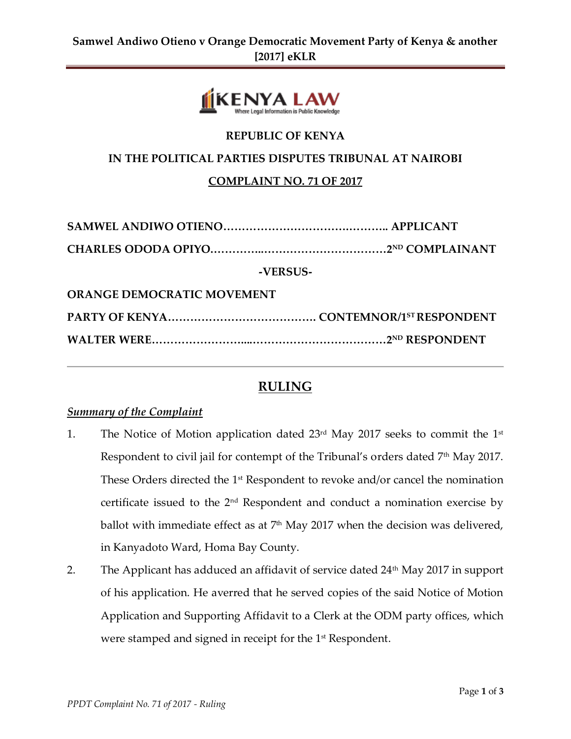

## **REPUBLIC OF KENYA**

## **IN THE POLITICAL PARTIES DISPUTES TRIBUNAL AT NAIROBI**

## **COMPLAINT NO. 71 OF 2017**

| -VERSUS-                          |  |  |
|-----------------------------------|--|--|
| <b>ORANGE DEMOCRATIC MOVEMENT</b> |  |  |
|                                   |  |  |
|                                   |  |  |

# **RULING**

#### *Summary of the Complaint*

- 1. The Notice of Motion application dated  $23<sup>rd</sup>$  May 2017 seeks to commit the  $1<sup>st</sup>$ Respondent to civil jail for contempt of the Tribunal's orders dated 7<sup>th</sup> May 2017. These Orders directed the  $1<sup>st</sup>$  Respondent to revoke and/or cancel the nomination certificate issued to the  $2<sup>nd</sup>$  Respondent and conduct a nomination exercise by ballot with immediate effect as at  $7<sup>th</sup>$  May 2017 when the decision was delivered, in Kanyadoto Ward, Homa Bay County.
- 2. The Applicant has adduced an affidavit of service dated 24<sup>th</sup> May 2017 in support of his application. He averred that he served copies of the said Notice of Motion Application and Supporting Affidavit to a Clerk at the ODM party offices, which were stamped and signed in receipt for the 1<sup>st</sup> Respondent.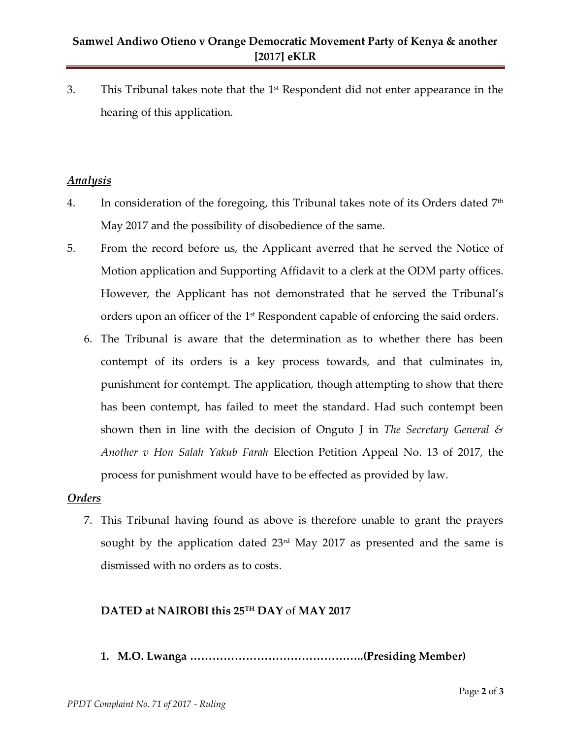3. This Tribunal takes note that the  $1<sup>st</sup>$  Respondent did not enter appearance in the hearing of this application.

## *Analysis*

- 4. In consideration of the foregoing, this Tribunal takes note of its Orders dated  $7^{\text{th}}$ May 2017 and the possibility of disobedience of the same.
- 5. From the record before us, the Applicant averred that he served the Notice of Motion application and Supporting Affidavit to a clerk at the ODM party offices. However, the Applicant has not demonstrated that he served the Tribunal's orders upon an officer of the 1 $^{\rm st}$  Respondent capable of enforcing the said orders.
	- 6. The Tribunal is aware that the determination as to whether there has been contempt of its orders is a key process towards, and that culminates in, punishment for contempt. The application, though attempting to show that there has been contempt, has failed to meet the standard. Had such contempt been shown then in line with the decision of Onguto J in *The Secretary General & Another v Hon Salah Yakub Farah* Election Petition Appeal No. 13 of 2017*,* the process for punishment would have to be effected as provided by law.

#### *Orders*

7. This Tribunal having found as above is therefore unable to grant the prayers sought by the application dated 23<sup>rd</sup> May 2017 as presented and the same is dismissed with no orders as to costs.

## **DATED at NAIROBI this 25TH DAY** of **MAY 2017**

**1. M.O. Lwanga ………………………………………..(Presiding Member)**